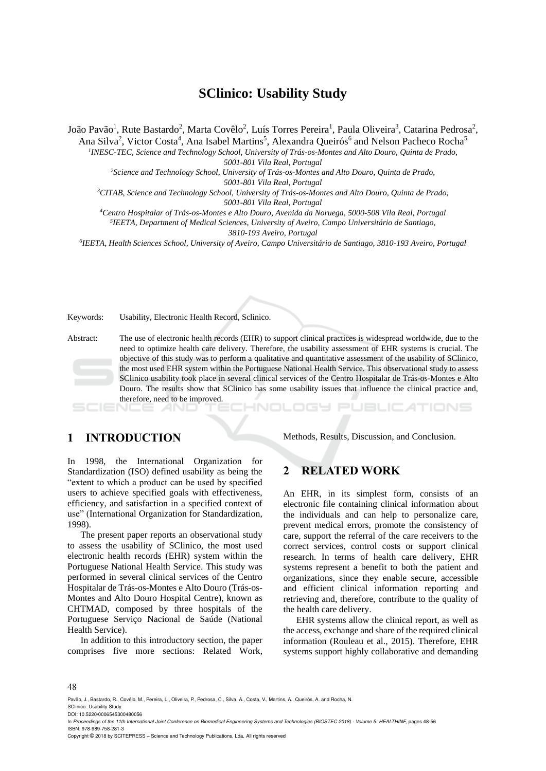# **SClinico: Usability Study**

João Pavão<sup>1</sup>, Rute Bastardo<sup>2</sup>, Marta Covêlo<sup>2</sup>, Luís Torres Pereira<sup>1</sup>, Paula Oliveira<sup>3</sup>, Catarina Pedrosa<sup>2</sup>,

Ana Silva<sup>2</sup>, Victor Costa<sup>4</sup>, Ana Isabel Martins<sup>5</sup>, Alexandra Queirós<sup>6</sup> and Nelson Pacheco Rocha<sup>5</sup>

*1 INESC-TEC, Science and Technology School, University of Trás-os-Montes and Alto Douro, Quinta de Prado, 5001-801 Vila Real, Portugal*

*<sup>2</sup>Science and Technology School, University of Trás-os-Montes and Alto Douro, Quinta de Prado,* 

*5001-801 Vila Real, Portugal*

*<sup>3</sup>CITAB, Science and Technology School, University of Trás-os-Montes and Alto Douro, Quinta de Prado, 5001-801 Vila Real, Portugal*

*<sup>4</sup>Centro Hospitalar of Trás-os-Montes e Alto Douro, Avenida da Noruega, 5000-508 Vila Real, Portugal*

*5 IEETA, Department of Medical Sciences, University of Aveiro, Campo Universitário de Santiago, 3810-193 Aveiro, Portugal*

*6 IEETA, Health Sciences School, University of Aveiro, Campo Universitário de Santiago, 3810-193 Aveiro, Portugal*

Keywords: Usability, Electronic Health Record, Sclinico.

Abstract: The use of electronic health records (EHR) to support clinical practices is widespread worldwide, due to the need to optimize health care delivery. Therefore, the usability assessment of EHR systems is crucial. The objective of this study was to perform a qualitative and quantitative assessment of the usability of SClinico, the most used EHR system within the Portuguese National Health Service. This observational study to assess SClinico usability took place in several clinical services of the Centro Hospitalar de Trás-os-Montes e Alto Douro. The results show that SClinico has some usability issues that influence the clinical practice and, therefore, need to be improved.

- - -

# **1 INTRODUCTION**

Methods, Results, Discussion, and Conclusion.

TIONS

In 1998, the International Organization for Standardization (ISO) defined usability as being the "extent to which a product can be used by specified users to achieve specified goals with effectiveness, efficiency, and satisfaction in a specified context of use" (International Organization for Standardization, 1998).

The present paper reports an observational study to assess the usability of SClinico, the most used electronic health records (EHR) system within the Portuguese National Health Service. This study was performed in several clinical services of the Centro Hospitalar de Trás-os-Montes e Alto Douro (Trás-os-Montes and Alto Douro Hospital Centre), known as CHTMAD, composed by three hospitals of the Portuguese Serviço Nacional de Saúde (National Health Service).

In addition to this introductory section, the paper comprises five more sections: Related Work,

**2 RELATED WORK**

An EHR, in its simplest form, consists of an electronic file containing clinical information about the individuals and can help to personalize care, prevent medical errors, promote the consistency of care, support the referral of the care receivers to the correct services, control costs or support clinical research. In terms of health care delivery, EHR systems represent a benefit to both the patient and organizations, since they enable secure, accessible and efficient clinical information reporting and retrieving and, therefore, contribute to the quality of the health care delivery.

EHR systems allow the clinical report, as well as the access, exchange and share of the required clinical information (Rouleau et al., 2015). Therefore, EHR systems support highly collaborative and demanding

#### 48

Pavão, J., Bastardo, R., Covêlo, M., Pereira, L., Oliveira, P., Pedrosa, C., Silva, A., Costa, V., Martins, A., Queirós, A. and Rocha, N.

SClinico: Usability Study. DOI: 10.5220/0006545300480056

Copyright © 2018 by SCITEPRESS – Science and Technology Publications, Lda. All rights reserved

In *Proceedings of the 11th International Joint Conference on Biomedical Engineering Systems and Technologies (BIOSTEC 2018) - Volume 5: HEALTHINF*, pages 48-56 ISBN: 978-989-758-281-3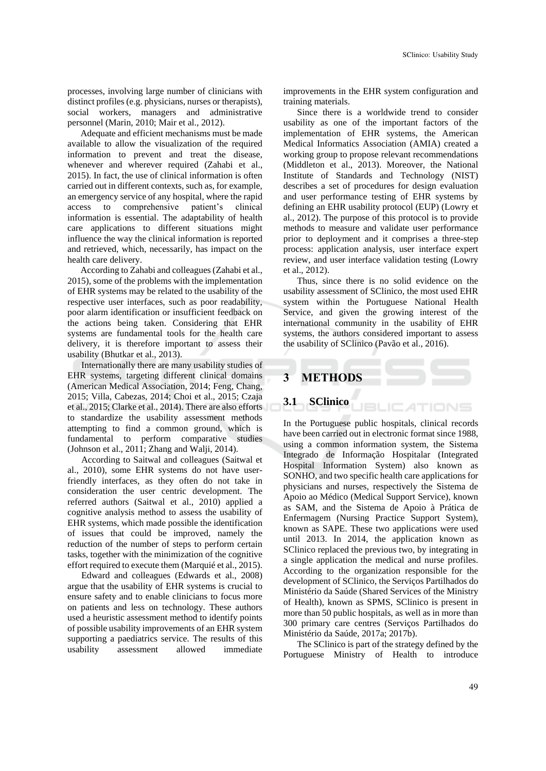processes, involving large number of clinicians with distinct profiles (e.g. physicians, nurses or therapists), social workers, managers and administrative personnel (Marin, 2010; Mair et al., 2012).

Adequate and efficient mechanisms must be made available to allow the visualization of the required information to prevent and treat the disease, whenever and wherever required (Zahabi et al., 2015). In fact, the use of clinical information is often carried out in different contexts, such as, for example, an emergency service of any hospital, where the rapid access to comprehensive patient's clinical information is essential. The adaptability of health care applications to different situations might influence the way the clinical information is reported and retrieved, which, necessarily, has impact on the health care delivery.

According to Zahabi and colleagues (Zahabi et al., 2015), some of the problems with the implementation of EHR systems may be related to the usability of the respective user interfaces, such as poor readability, poor alarm identification or insufficient feedback on the actions being taken. Considering that EHR systems are fundamental tools for the health care delivery, it is therefore important to assess their usability (Bhutkar et al., 2013).

Internationally there are many usability studies of EHR systems, targeting different clinical domains (American Medical Association, 2014; Feng, Chang, 2015; Villa, Cabezas, 2014; Choi et al., 2015; Czaja et al., 2015; Clarke et al., 2014). There are also efforts to standardize the usability assessment methods attempting to find a common ground, which is fundamental to perform comparative studies (Johnson et al., 2011; Zhang and Walji, 2014).

According to Saitwal and colleagues (Saitwal et al., 2010), some EHR systems do not have userfriendly interfaces, as they often do not take in consideration the user centric development. The referred authors (Saitwal et al., 2010) applied a cognitive analysis method to assess the usability of EHR systems, which made possible the identification of issues that could be improved, namely the reduction of the number of steps to perform certain tasks, together with the minimization of the cognitive effort required to execute them (Marquié et al., 2015).

Edward and colleagues (Edwards et al., 2008) argue that the usability of EHR systems is crucial to ensure safety and to enable clinicians to focus more on patients and less on technology. These authors used a heuristic assessment method to identify points of possible usability improvements of an EHR system supporting a paediatrics service. The results of this usability assessment allowed immediate improvements in the EHR system configuration and training materials.

Since there is a worldwide trend to consider usability as one of the important factors of the implementation of EHR systems, the American Medical Informatics Association (AMIA) created a working group to propose relevant recommendations (Middleton et al., 2013). Moreover, the National Institute of Standards and Technology (NIST) describes a set of procedures for design evaluation and user performance testing of EHR systems by defining an EHR usability protocol (EUP) (Lowry et al., 2012). The purpose of this protocol is to provide methods to measure and validate user performance prior to deployment and it comprises a three-step process: application analysis, user interface expert review, and user interface validation testing (Lowry et al., 2012).

Thus, since there is no solid evidence on the usability assessment of SClinico, the most used EHR system within the Portuguese National Health Service, and given the growing interest of the international community in the usability of EHR systems, the authors considered important to assess the usability of SClinico (Pavão et al., 2016).

**JBLICATIONS** 

# **3 METHODS**

#### **3.1 SClinico**

In the Portuguese public hospitals, clinical records have been carried out in electronic format since 1988, using a common information system, the Sistema Integrado de Informação Hospitalar (Integrated Hospital Information System) also known as SONHO, and two specific health care applications for physicians and nurses, respectively the Sistema de Apoio ao Médico (Medical Support Service), known as SAM, and the Sistema de Apoio à Prática de Enfermagem (Nursing Practice Support System), known as SAPE. These two applications were used until 2013. In 2014, the application known as SClinico replaced the previous two, by integrating in a single application the medical and nurse profiles. According to the organization responsible for the development of SClinico, the Serviços Partilhados do Ministério da Saúde (Shared Services of the Ministry of Health), known as SPMS, SClinico is present in more than 50 public hospitals, as well as in more than 300 primary care centres (Serviços Partilhados do Ministério da Saúde, 2017a; 2017b).

The SClinico is part of the strategy defined by the Portuguese Ministry of Health to introduce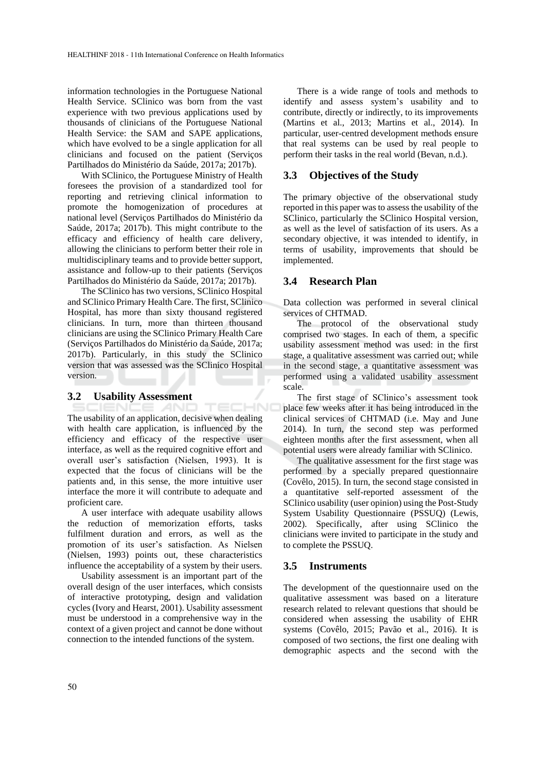information technologies in the Portuguese National Health Service. SClinico was born from the vast experience with two previous applications used by thousands of clinicians of the Portuguese National Health Service: the SAM and SAPE applications, which have evolved to be a single application for all clinicians and focused on the patient (Serviços Partilhados do Ministério da Saúde, 2017a; 2017b).

With SClinico, the Portuguese Ministry of Health foresees the provision of a standardized tool for reporting and retrieving clinical information to promote the homogenization of procedures at national level (Serviços Partilhados do Ministério da Saúde, 2017a; 2017b). This might contribute to the efficacy and efficiency of health care delivery, allowing the clinicians to perform better their role in multidisciplinary teams and to provide better support, assistance and follow-up to their patients (Serviços Partilhados do Ministério da Saúde, 2017a; 2017b).

The SClinico has two versions, SClinico Hospital and SClinico Primary Health Care. The first, SClinico Hospital, has more than sixty thousand registered clinicians. In turn, more than thirteen thousand clinicians are using the SClinico Primary Health Care (Serviços Partilhados do Ministério da Saúde, 2017a; 2017b). Particularly, in this study the SClinico version that was assessed was the SClinico Hospital version.

#### **3.2 Usability Assessment**

TECHNO AND The usability of an application, decisive when dealing with health care application, is influenced by the efficiency and efficacy of the respective user interface, as well as the required cognitive effort and overall user's satisfaction (Nielsen, 1993). It is expected that the focus of clinicians will be the patients and, in this sense, the more intuitive user interface the more it will contribute to adequate and proficient care.

A user interface with adequate usability allows the reduction of memorization efforts, tasks fulfilment duration and errors, as well as the promotion of its user's satisfaction. As Nielsen (Nielsen, 1993) points out, these characteristics influence the acceptability of a system by their users.

Usability assessment is an important part of the overall design of the user interfaces, which consists of interactive prototyping, design and validation cycles (Ivory and Hearst, 2001). Usability assessment must be understood in a comprehensive way in the context of a given project and cannot be done without connection to the intended functions of the system.

There is a wide range of tools and methods to identify and assess system's usability and to contribute, directly or indirectly, to its improvements (Martins et al., 2013; Martins et al., 2014). In particular, user-centred development methods ensure that real systems can be used by real people to perform their tasks in the real world (Bevan, n.d.).

#### **3.3 Objectives of the Study**

The primary objective of the observational study reported in this paper was to assess the usability of the SClinico, particularly the SClinico Hospital version, as well as the level of satisfaction of its users. As a secondary objective, it was intended to identify, in terms of usability, improvements that should be implemented.

#### **3.4 Research Plan**

Data collection was performed in several clinical services of CHTMAD.

The protocol of the observational study comprised two stages. In each of them, a specific usability assessment method was used: in the first stage, a qualitative assessment was carried out; while in the second stage, a quantitative assessment was performed using a validated usability assessment scale.

The first stage of SClinico's assessment took place few weeks after it has being introduced in the clinical services of CHTMAD (i.e. May and June 2014). In turn, the second step was performed eighteen months after the first assessment, when all potential users were already familiar with SClinico.

The qualitative assessment for the first stage was performed by a specially prepared questionnaire (Covêlo, 2015). In turn, the second stage consisted in a quantitative self-reported assessment of the SClinico usability (user opinion) using the Post-Study System Usability Questionnaire (PSSUQ) (Lewis, 2002). Specifically, after using SClinico the clinicians were invited to participate in the study and to complete the PSSUQ.

#### **3.5 Instruments**

The development of the questionnaire used on the qualitative assessment was based on a literature research related to relevant questions that should be considered when assessing the usability of EHR systems (Covêlo, 2015; Pavão et al., 2016). It is composed of two sections, the first one dealing with demographic aspects and the second with the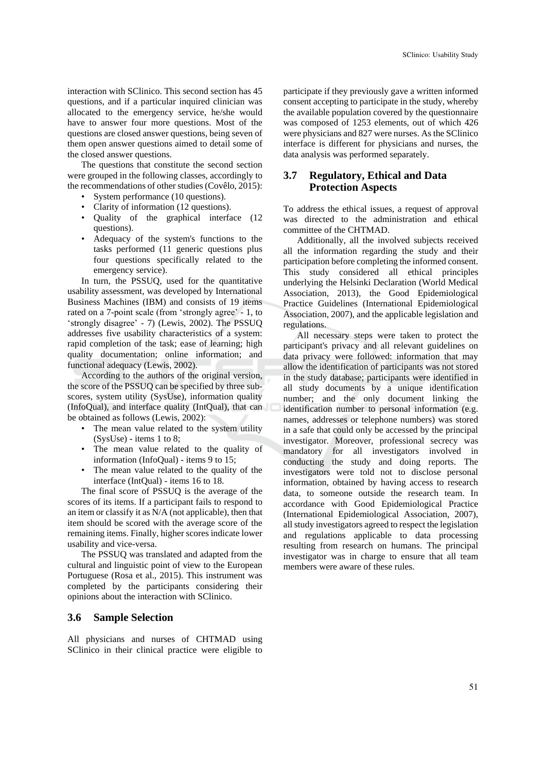interaction with SClinico. This second section has 45 questions, and if a particular inquired clinician was allocated to the emergency service, he/she would have to answer four more questions. Most of the questions are closed answer questions, being seven of them open answer questions aimed to detail some of the closed answer questions.

The questions that constitute the second section were grouped in the following classes, accordingly to the recommendations of other studies (Covêlo, 2015):

- System performance (10 questions).
- Clarity of information (12 questions).
- Quality of the graphical interface (12 questions).
- Adequacy of the system's functions to the tasks performed (11 generic questions plus four questions specifically related to the emergency service).

In turn, the PSSUQ, used for the quantitative usability assessment, was developed by International Business Machines (IBM) and consists of 19 items rated on a 7-point scale (from 'strongly agree' - 1, to 'strongly disagree' - 7) (Lewis, 2002). The PSSUQ addresses five usability characteristics of a system: rapid completion of the task; ease of learning; high quality documentation; online information; and functional adequacy (Lewis, 2002).

According to the authors of the original version, the score of the PSSUQ can be specified by three subscores, system utility (SysUse), information quality (InfoQual), and interface quality (IntQual), that can be obtained as follows (Lewis, 2002):

- The mean value related to the system utility (SysUse) - items 1 to 8;
- The mean value related to the quality of information (InfoQual) - items 9 to 15;
- The mean value related to the quality of the interface (IntQual) - items 16 to 18.

The final score of PSSUQ is the average of the scores of its items. If a participant fails to respond to an item or classify it as N/A (not applicable), then that item should be scored with the average score of the remaining items. Finally, higher scores indicate lower usability and vice-versa.

The PSSUQ was translated and adapted from the cultural and linguistic point of view to the European Portuguese (Rosa et al., 2015). This instrument was completed by the participants considering their opinions about the interaction with SClinico.

### **3.6 Sample Selection**

All physicians and nurses of CHTMAD using SClinico in their clinical practice were eligible to

participate if they previously gave a written informed consent accepting to participate in the study, whereby the available population covered by the questionnaire was composed of 1253 elements, out of which 426 were physicians and 827 were nurses. As the SClinico interface is different for physicians and nurses, the data analysis was performed separately.

#### **3.7 Regulatory, Ethical and Data Protection Aspects**

To address the ethical issues, a request of approval was directed to the administration and ethical committee of the CHTMAD.

Additionally, all the involved subjects received all the information regarding the study and their participation before completing the informed consent. This study considered all ethical principles underlying the Helsinki Declaration (World Medical Association, 2013), the Good Epidemiological Practice Guidelines (International Epidemiological Association, 2007), and the applicable legislation and regulations.

All necessary steps were taken to protect the participant's privacy and all relevant guidelines on data privacy were followed: information that may allow the identification of participants was not stored in the study database; participants were identified in all study documents by a unique identification number; and the only document linking the identification number to personal information (e.g. names, addresses or telephone numbers) was stored in a safe that could only be accessed by the principal investigator. Moreover, professional secrecy was mandatory for all investigators involved in conducting the study and doing reports. The investigators were told not to disclose personal information, obtained by having access to research data, to someone outside the research team. In accordance with Good Epidemiological Practice (International Epidemiological Association, 2007), all study investigators agreed to respect the legislation and regulations applicable to data processing resulting from research on humans. The principal investigator was in charge to ensure that all team members were aware of these rules.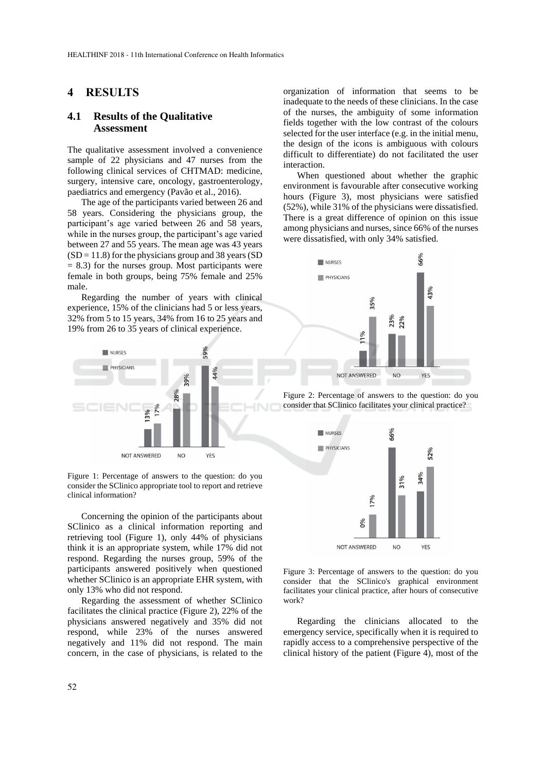## **4 RESULTS**

#### **4.1 Results of the Qualitative Assessment**

The qualitative assessment involved a convenience sample of 22 physicians and 47 nurses from the following clinical services of CHTMAD: medicine, surgery, intensive care, oncology, gastroenterology, paediatrics and emergency (Pavão et al., 2016).

The age of the participants varied between 26 and 58 years. Considering the physicians group, the participant's age varied between 26 and 58 years, while in the nurses group, the participant's age varied between 27 and 55 years. The mean age was 43 years  $(SD = 11.8)$  for the physicians group and 38 years  $(SD)$  $= 8.3$ ) for the nurses group. Most participants were female in both groups, being 75% female and 25% male.

Regarding the number of years with clinical experience, 15% of the clinicians had 5 or less years, 32% from 5 to 15 years, 34% from 16 to 25 years and 19% from 26 to 35 years of clinical experience.



Figure 1: Percentage of answers to the question: do you consider the SClinico appropriate tool to report and retrieve clinical information?

Concerning the opinion of the participants about SClinico as a clinical information reporting and retrieving tool (Figure 1), only 44% of physicians think it is an appropriate system, while 17% did not respond. Regarding the nurses group, 59% of the participants answered positively when questioned whether SClinico is an appropriate EHR system, with only 13% who did not respond.

Regarding the assessment of whether SClinico facilitates the clinical practice (Figure 2), 22% of the physicians answered negatively and 35% did not respond, while 23% of the nurses answered negatively and 11% did not respond. The main concern, in the case of physicians, is related to the

organization of information that seems to be inadequate to the needs of these clinicians. In the case of the nurses, the ambiguity of some information fields together with the low contrast of the colours selected for the user interface (e.g. in the initial menu, the design of the icons is ambiguous with colours difficult to differentiate) do not facilitated the user interaction.

When questioned about whether the graphic environment is favourable after consecutive working hours (Figure 3), most physicians were satisfied (52%), while 31% of the physicians were dissatisfied. There is a great difference of opinion on this issue among physicians and nurses, since 66% of the nurses were dissatisfied, with only 34% satisfied.







Figure 3: Percentage of answers to the question: do you consider that the SClinico's graphical environment facilitates your clinical practice, after hours of consecutive work?

Regarding the clinicians allocated to the emergency service, specifically when it is required to rapidly access to a comprehensive perspective of the clinical history of the patient (Figure 4), most of the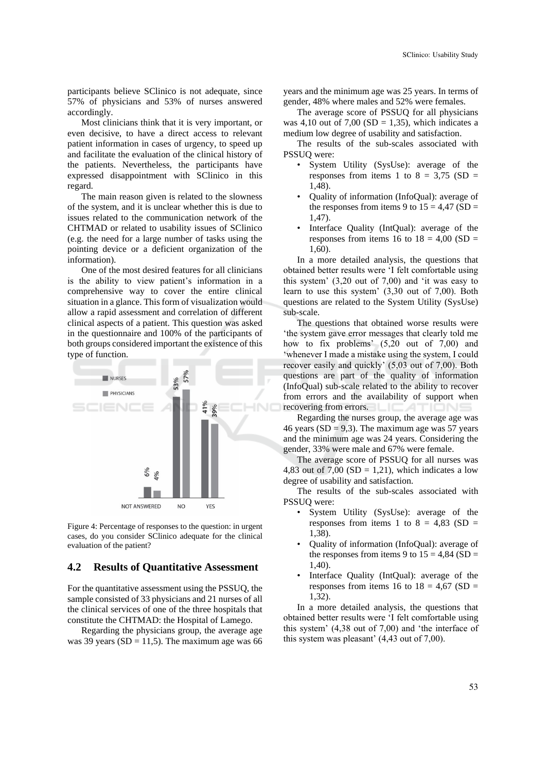participants believe SClinico is not adequate, since 57% of physicians and 53% of nurses answered accordingly.

Most clinicians think that it is very important, or even decisive, to have a direct access to relevant patient information in cases of urgency, to speed up and facilitate the evaluation of the clinical history of the patients. Nevertheless, the participants have expressed disappointment with SClinico in this regard.

The main reason given is related to the slowness of the system, and it is unclear whether this is due to issues related to the communication network of the CHTMAD or related to usability issues of SClinico (e.g. the need for a large number of tasks using the pointing device or a deficient organization of the information).

One of the most desired features for all clinicians is the ability to view patient's information in a comprehensive way to cover the entire clinical situation in a glance. This form of visualization would allow a rapid assessment and correlation of different clinical aspects of a patient. This question was asked in the questionnaire and 100% of the participants of both groups considered important the existence of this type of function.



Figure 4: Percentage of responses to the question: in urgent cases, do you consider SClinico adequate for the clinical evaluation of the patient?

#### **4.2 Results of Quantitative Assessment**

For the quantitative assessment using the PSSUQ, the sample consisted of 33 physicians and 21 nurses of all the clinical services of one of the three hospitals that constitute the CHTMAD: the Hospital of Lamego.

Regarding the physicians group, the average age was 39 years ( $SD = 11,5$ ). The maximum age was 66

years and the minimum age was 25 years. In terms of gender, 48% where males and 52% were females.

The average score of PSSUQ for all physicians was 4,10 out of 7,00 (SD = 1,35), which indicates a medium low degree of usability and satisfaction.

The results of the sub-scales associated with PSSUQ were:

- System Utility (SysUse): average of the responses from items 1 to  $8 = 3,75$  (SD = 1,48).
- Quality of information (InfoQual): average of the responses from items 9 to  $15 = 4,47$  (SD = 1,47).
- Interface Quality (IntQual): average of the responses from items 16 to  $18 = 4,00$  (SD =  $1,60$

In a more detailed analysis, the questions that obtained better results were 'I felt comfortable using this system' (3,20 out of 7,00) and 'it was easy to learn to use this system' (3,30 out of 7,00). Both questions are related to the System Utility (SysUse) sub-scale.

The questions that obtained worse results were 'the system gave error messages that clearly told me how to fix problems' (5,20 out of 7,00) and 'whenever I made a mistake using the system, I could recover easily and quickly' (5,03 out of 7,00). Both questions are part of the quality of information (InfoQual) sub-scale related to the ability to recover from errors and the availability of support when recovering from errors. LICATIONS

Regarding the nurses group, the average age was 46 years ( $SD = 9,3$ ). The maximum age was 57 years and the minimum age was 24 years. Considering the gender, 33% were male and 67% were female.

The average score of PSSUQ for all nurses was 4,83 out of 7,00 (SD = 1,21), which indicates a low degree of usability and satisfaction.

The results of the sub-scales associated with PSSUQ were:

- System Utility (SysUse): average of the responses from items 1 to  $8 = 4,83$  (SD = 1,38).
- Quality of information (InfoQual): average of the responses from items 9 to  $15 = 4,84$  (SD = 1,40).
- Interface Quality (IntQual): average of the responses from items 16 to  $18 = 4,67$  (SD = 1,32).

In a more detailed analysis, the questions that obtained better results were 'I felt comfortable using this system' (4,38 out of 7,00) and 'the interface of this system was pleasant' (4,43 out of 7,00).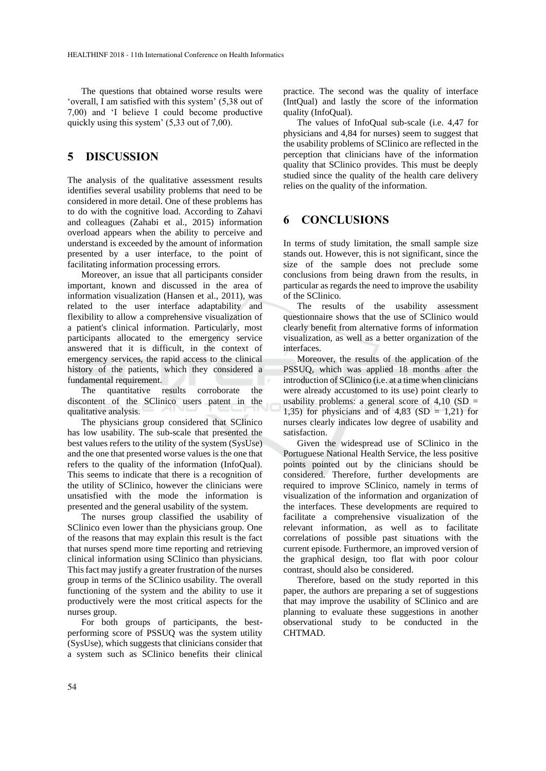The questions that obtained worse results were 'overall, I am satisfied with this system' (5,38 out of 7,00) and 'I believe I could become productive quickly using this system' (5,33 out of 7,00).

## **5 DISCUSSION**

The analysis of the qualitative assessment results identifies several usability problems that need to be considered in more detail. One of these problems has to do with the cognitive load. According to Zahavi and colleagues (Zahabi et al., 2015) information overload appears when the ability to perceive and understand is exceeded by the amount of information presented by a user interface, to the point of facilitating information processing errors.

Moreover, an issue that all participants consider important, known and discussed in the area of information visualization (Hansen et al., 2011), was related to the user interface adaptability and flexibility to allow a comprehensive visualization of a patient's clinical information. Particularly, most participants allocated to the emergency service answered that it is difficult, in the context of emergency services, the rapid access to the clinical history of the patients, which they considered a fundamental requirement.

The quantitative results corroborate the discontent of the SClinico users patent in the qualitative analysis.

The physicians group considered that SClinico has low usability. The sub-scale that presented the best values refers to the utility of the system (SysUse) and the one that presented worse values is the one that refers to the quality of the information (InfoQual). This seems to indicate that there is a recognition of the utility of SClinico, however the clinicians were unsatisfied with the mode the information is presented and the general usability of the system.

The nurses group classified the usability of SClinico even lower than the physicians group. One of the reasons that may explain this result is the fact that nurses spend more time reporting and retrieving clinical information using SClinico than physicians. This fact may justify a greater frustration of the nurses group in terms of the SClinico usability. The overall functioning of the system and the ability to use it productively were the most critical aspects for the nurses group.

For both groups of participants, the bestperforming score of PSSUQ was the system utility (SysUse), which suggests that clinicians consider that a system such as SClinico benefits their clinical

practice. The second was the quality of interface (IntQual) and lastly the score of the information quality (InfoQual).

The values of InfoQual sub-scale (i.e. 4,47 for physicians and 4,84 for nurses) seem to suggest that the usability problems of SClinico are reflected in the perception that clinicians have of the information quality that SClinico provides. This must be deeply studied since the quality of the health care delivery relies on the quality of the information.

## **6 CONCLUSIONS**

In terms of study limitation, the small sample size stands out. However, this is not significant, since the size of the sample does not preclude some conclusions from being drawn from the results, in particular as regards the need to improve the usability of the SClinico.

The results of the usability assessment questionnaire shows that the use of SClinico would clearly benefit from alternative forms of information visualization, as well as a better organization of the interfaces.

Moreover, the results of the application of the PSSUQ, which was applied 18 months after the introduction of SClinico (i.e. at a time when clinicians were already accustomed to its use) point clearly to usability problems: a general score of  $4.10$  (SD = 1,35) for physicians and of  $4,83$  (SD = 1,21) for nurses clearly indicates low degree of usability and satisfaction.

Given the widespread use of SClinico in the Portuguese National Health Service, the less positive points pointed out by the clinicians should be considered. Therefore, further developments are required to improve SClinico, namely in terms of visualization of the information and organization of the interfaces. These developments are required to facilitate a comprehensive visualization of the relevant information, as well as to facilitate correlations of possible past situations with the current episode. Furthermore, an improved version of the graphical design, too flat with poor colour contrast, should also be considered.

Therefore, based on the study reported in this paper, the authors are preparing a set of suggestions that may improve the usability of SClinico and are planning to evaluate these suggestions in another observational study to be conducted in the CHTMAD.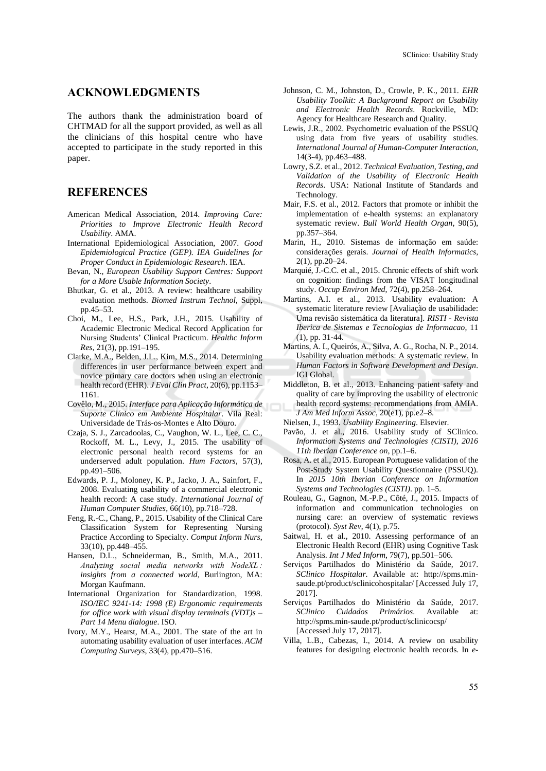#### **ACKNOWLEDGMENTS**

The authors thank the administration board of CHTMAD for all the support provided, as well as all the clinicians of this hospital centre who have accepted to participate in the study reported in this paper.

## **REFERENCES**

- American Medical Association, 2014. *Improving Care: Priorities to Improve Electronic Health Record Usability*. AMA.
- International Epidemiological Association, 2007. *Good Epidemiological Practice (GEP). IEA Guidelines for Proper Conduct in Epidemiologic Research*. IEA.
- Bevan, N., *European Usability Support Centres: Support for a More Usable Information Society*.
- Bhutkar, G. et al., 2013. A review: healthcare usability evaluation methods. *Biomed Instrum Technol*, Suppl, pp.45–53.
- Choi, M., Lee, H.S., Park, J.H., 2015. Usability of Academic Electronic Medical Record Application for Nursing Students' Clinical Practicum. *Healthc Inform Res*, 21(3), pp.191–195.
- Clarke, M.A., Belden, J.L., Kim, M.S., 2014. Determining differences in user performance between expert and novice primary care doctors when using an electronic health record (EHR). *J Eval Clin Pract*, 20(6), pp.1153– 1161.
- Covêlo, M., 2015. *Interface para Aplicação Informática de Suporte Clínico em Ambiente Hospitalar*. Vila Real: Universidade de Trás-os-Montes e Alto Douro.
- Czaja, S. J., Zarcadoolas, C., Vaughon, W. L., Lee, C. C., Rockoff, M. L., Levy, J., 2015. The usability of electronic personal health record systems for an underserved adult population. *Hum Factors*, 57(3), pp.491–506.
- Edwards, P. J., Moloney, K. P., Jacko, J. A., Sainfort, F., 2008. Evaluating usability of a commercial electronic health record: A case study. *International Journal of Human Computer Studies*, 66(10), pp.718–728.
- Feng, R.-C., Chang, P., 2015. Usability of the Clinical Care Classification System for Representing Nursing Practice According to Specialty. *Comput Inform Nurs*, 33(10), pp.448–455.
- Hansen, D.L., Schneiderman, B., Smith, M.A., 2011. *Analyzing social media networks with NodeXL : insights from a connected world*, Burlington, MA: Morgan Kaufmann.
- International Organization for Standardization, 1998. *ISO/IEC 9241-14: 1998 (E) Ergonomic requirements for office work with visual display terminals (VDT)s – Part 14 Menu dialogue*. ISO.
- Ivory, M.Y., Hearst, M.A., 2001. The state of the art in automating usability evaluation of user interfaces. *ACM Computing Surveys*, 33(4), pp.470–516.
- Johnson, C. M., Johnston, D., Crowle, P. K., 2011. *EHR Usability Toolkit: A Background Report on Usability and Electronic Health Records*. Rockville, MD: Agency for Healthcare Research and Quality.
- Lewis, J.R., 2002. Psychometric evaluation of the PSSUQ using data from five years of usability studies. *International Journal of Human-Computer Interaction*, 14(3-4), pp.463–488.
- Lowry, S.Z. et al., 2012. *Technical Evaluation, Testing, and Validation of the Usability of Electronic Health Records*. USA: National Institute of Standards and Technology.
- Mair, F.S. et al., 2012. Factors that promote or inhibit the implementation of e-health systems: an explanatory systematic review. *Bull World Health Organ*, 90(5), pp.357–364.
- Marin, H., 2010. Sistemas de informação em saúde: considerações gerais. *Journal of Health Informatics*, 2(1), pp.20–24.
- Marquié, J.-C.C. et al., 2015. Chronic effects of shift work on cognition: findings from the VISAT longitudinal study. *Occup Environ Med*, 72(4), pp.258–264.
- Martins, A.I. et al., 2013. Usability evaluation: A systematic literature review [Avaliação de usabilidade: Uma revisão sistemática da literatura]. *RISTI - Revista Iberica de Sistemas e Tecnologias de Informacao*, 11 (1), pp. 31-44.
- Martins, A. I., Queirós, A., Silva, A. G., Rocha, N. P., 2014. Usability evaluation methods: A systematic review. In *Human Factors in Software Development and Design*. IGI Global.
- Middleton, B. et al., 2013. Enhancing patient safety and quality of care by improving the usability of electronic health record systems: recommendations from AMIA. *J Am Med Inform Assoc*, 20(e1), pp.e2–8.
- Nielsen, J., 1993. *Usability Engineering*. Elsevier.
- Pavão, J. et al., 2016. Usability study of SClinico. *Information Systems and Technologies (CISTI), 2016 11th Iberian Conference on*, pp.1–6.
- Rosa, A. et al., 2015. European Portuguese validation of the Post-Study System Usability Questionnaire (PSSUQ). In *2015 10th Iberian Conference on Information Systems and Technologies (CISTI)*. pp. 1–5.
- Rouleau, G., Gagnon, M.-P.P., Côté, J., 2015. Impacts of information and communication technologies on nursing care: an overview of systematic reviews (protocol). *Syst Rev*, 4(1), p.75.
- Saitwal, H. et al., 2010. Assessing performance of an Electronic Health Record (EHR) using Cognitive Task Analysis. *Int J Med Inform*, 79(7), pp.501–506.
- Serviços Partilhados do Ministério da Saúde, 2017. *SClinico Hospitalar*. Available at: http://spms.minsaude.pt/product/sclinicohospitalar/ [Accessed July 17, 2017].
- Serviços Partilhados do Ministério da Saúde, 2017. *SClinico Cuidados Primários*. Available at: http://spms.min-saude.pt/product/sclinicocsp/ [Accessed July 17, 2017].
- Villa, L.B., Cabezas, I., 2014. A review on usability features for designing electronic health records. In *e-*